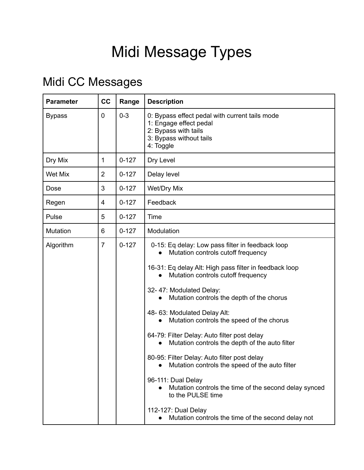## Midi Message Types

## Midi CC Messages

| <b>Parameter</b> | cc             | Range     | <b>Description</b>                                                                                                                                                                                                                                                                                                                                                                                                                                                                                                                                                                                                                                                                                                                                      |  |
|------------------|----------------|-----------|---------------------------------------------------------------------------------------------------------------------------------------------------------------------------------------------------------------------------------------------------------------------------------------------------------------------------------------------------------------------------------------------------------------------------------------------------------------------------------------------------------------------------------------------------------------------------------------------------------------------------------------------------------------------------------------------------------------------------------------------------------|--|
| <b>Bypass</b>    | 0              | $0 - 3$   | 0: Bypass effect pedal with current tails mode<br>1: Engage effect pedal<br>2: Bypass with tails<br>3: Bypass without tails<br>4: Toggle                                                                                                                                                                                                                                                                                                                                                                                                                                                                                                                                                                                                                |  |
| Dry Mix          | 1              | $0 - 127$ | Dry Level                                                                                                                                                                                                                                                                                                                                                                                                                                                                                                                                                                                                                                                                                                                                               |  |
| Wet Mix          | 2              | $0 - 127$ | Delay level                                                                                                                                                                                                                                                                                                                                                                                                                                                                                                                                                                                                                                                                                                                                             |  |
| Dose             | 3              | $0 - 127$ | Wet/Dry Mix                                                                                                                                                                                                                                                                                                                                                                                                                                                                                                                                                                                                                                                                                                                                             |  |
| Regen            | 4              | $0 - 127$ | Feedback                                                                                                                                                                                                                                                                                                                                                                                                                                                                                                                                                                                                                                                                                                                                                |  |
| Pulse            | 5              | $0 - 127$ | Time                                                                                                                                                                                                                                                                                                                                                                                                                                                                                                                                                                                                                                                                                                                                                    |  |
| Mutation         | 6              | $0 - 127$ | Modulation                                                                                                                                                                                                                                                                                                                                                                                                                                                                                                                                                                                                                                                                                                                                              |  |
| Algorithm        | $\overline{7}$ | $0 - 127$ | 0-15: Eq delay: Low pass filter in feedback loop<br>Mutation controls cutoff frequency<br>16-31: Eq delay Alt: High pass filter in feedback loop<br>Mutation controls cutoff frequency<br>32-47: Modulated Delay:<br>Mutation controls the depth of the chorus<br>48-63: Modulated Delay Alt:<br>Mutation controls the speed of the chorus<br>$\bullet$<br>64-79: Filter Delay: Auto filter post delay<br>Mutation controls the depth of the auto filter<br>80-95: Filter Delay: Auto filter post delay<br>Mutation controls the speed of the auto filter<br>96-111: Dual Delay<br>Mutation controls the time of the second delay synced<br>$\bullet$<br>to the PULSE time<br>112-127: Dual Delay<br>Mutation controls the time of the second delay not |  |